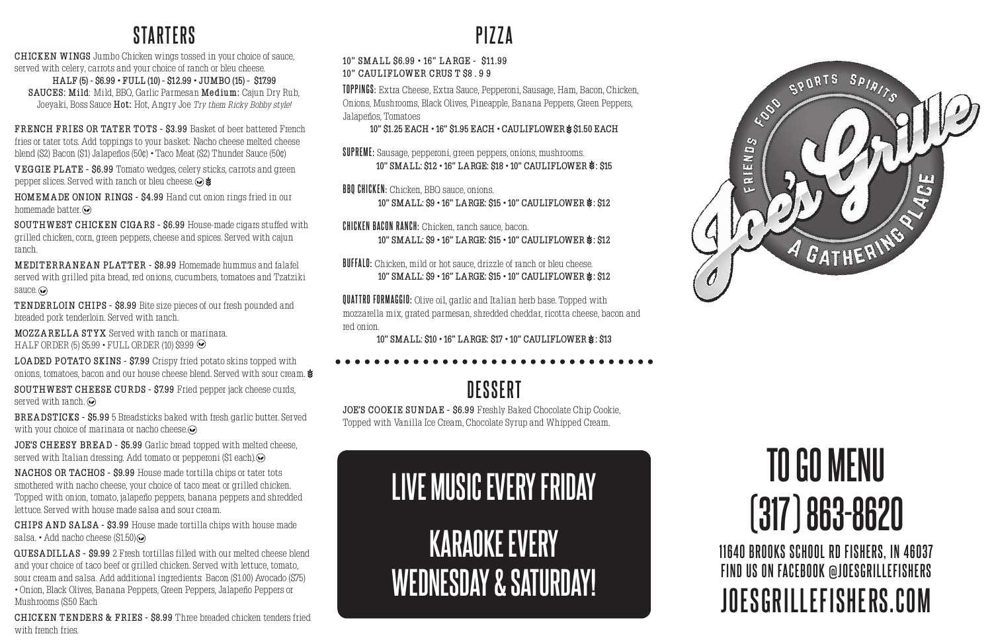#### **STARTERS**

**CHICKEN W INGS** Jumbo Chicken wings tossed in your choice of sauce, served with celery, carrots and your choice of ranch or bleu cheese.

**HALF (5) - \$6.99 • FULL (10) - \$12.99 • JUMBO (15) - \$17.99 SAUCES: Mild**: Mild, BBQ, Garlic Parmesan **Medium:** Cajun Dry Rub, Joeyaki, Boss Sauce **Hot:** Hot, Angry Joe Try them Ricky Bobby style!

**FRENCH FRIES OR TATER TOTS - \$3.99 Basket of beer battered French** fries or tater tots. Add toppings to your basket: Nacho cheese melted cheese blend (\$2) Bacon (\$1) Jalapeños (50¢) • Taco Meat (\$2) Thunder Sauce (50¢)

**VEGGIE PL AT E - \$6.99** Tomato wedges, celery sticks, carrots and green pepper slices. Served with ranch or bleu cheese.  $\odot \bullet$ 

**HOMEM A DE ONION RINGS - \$4.99** Hand cut onion rings fried in our homemade batter. $\odot$ 

**MEDI T ERRA NE A N PL AT T ER - \$8.99** Homemade hummus and falafel served with grilled pita bread, red onions, cucumbers, tomatoes and Tzatziki sauce.  $\odot$ 

**BRE A DST ICKS - \$5.99** 5 Breadsticks baked with fresh garlic butter. Served with your choice of marinara or nacho cheese.

**JOE'S CHEESY BREAD - \$5.99** Garlic bread topped with melted cheese, served with Italian dressing. Add tomato or pepperoni (\$1 each).

**SOU THW EST CHICKEN CIGA RS - \$6.99** House-made cigars stuffed with grilled chicken, corn, green peppers, cheese and spices. Served with cajun ranch.

**T ENDERLOIN CHIPS - \$8.99** Bite size pieces of our fresh pounded and breaded pork tenderloin. Served with ranch.

**MOZZARELLA STYX** Served with ranch or marinara. HALF ORDER (5)  $$5.99 \cdot$  FULL ORDER (10)  $$9.99 \odot$ 

LOA DED POTATO SKINS - \$7.99 Crispy fried potato skins topped with onions, tomatoes, bacon and our house cheese blend. Served with sour cream.  $\blacktriangleright$ 

**SOUTHWEST CHEESE CURDS - \$7.99** Fried pepper jack cheese curds, served with ranch.

**CHICKEN T ENDERS & FRIES - \$8.99** Three breaded chicken tenders fried with french fries.

**SUPREME:** Sausage, pepperoni, green peppers, onions, mushrooms. **10" SMALL: \$12 • 16" LARGE: \$18 • 10" CAULIFLOWER \$: \$15** 

**BBO CHICKEN:** Chicken, BBO sauce, onions. **10" SMALL: \$9 • 16" LARGE: \$15 • 10" CAULIFLOWER \$: \$12** 

**CHICKEN BACON RANCH:** Chicken, ranch sauce, bacon. **10" SMALL: \$9 • 16" LARGE: \$15 • 10" CAULIFLOWER**  $\cdot$ **: \$12** 

**BUFFALO:** Chicken, mild or hot sauce, drizzle of ranch or bleu cheese. **10" SMALL: \$9 • 16" LARGE: \$15 • 10" CAULIFLOWER \$: \$12** 

**score score QUATTRO FORMAGGIO:** Olive oil, garlic and Italian herb base. Topped with mozzarella mix, grated parmesan, shredded cheddar, ricotta cheese, bacon and red onion.

10" SMALL: \$10 · 16" LARGE: \$17 · 10" CAULIFLOWER  $\cdot$ : \$13

**JOE'S COOKIE SUNDAE - \$6.99 Freshly Baked Chocolate Chip Cookie,** Topped with Vanilla Ice Cream, Chocolate Syrup and Whipped Cream.

**NACHOS OR TACHOS - \$9.99** House made tortilla chips or tater tots smothered with nacho cheese, your choice of taco meat or grilled chicken. Topped with onion, tomato, jalapeño peppers, banana peppers and shredded lettuce. Served with house made salsa and sour cream.

> **KARAOKE EVERY WEDNESDAY & SATURDAY!**



**CHIPS AND SALSA - \$3.99** House made tortilla chips with house made salsa. • Add nacho cheese (\$1.50)

**QUESA DILL A S - \$9.99** 2 Fresh tortillas filled with our melted cheese blend and your choice of taco beef or grilled chicken. Served with lettuce, tomato, sour cream and salsa. Add additional ingredients: Bacon (\$1.00) Avocado (\$75) • Onion, Black Olives, Banana Peppers, Green Peppers, Jalapeño Peppers or Mushrooms (\$.50 Each

**11640 BROOKS SCHOOL RD FISHERS, IN 46037 FIND US ON FACEBOOK @JOESGRILLEFISHERS JOESGRILLEFISHERS.COM**

# **TO GO MENU (317) 863-8620**

## **PIZZA**

#### **10" SM A LL \$6.99 • 16" L A RGE - \$11 .99 10" CAULIFLOW ER CRUS T \$8 . 9 9**

**TOPPINGS:** Extra Cheese, Extra Sauce, Pepperoni, Sausage, Ham, Bacon, Chicken, Onions, Mushrooms, Black Olives, Pineapple, Banana Peppers, Green Peppers, Jalapeños, Tomatoes

**10" \$1.25 EACH • 16" \$1.95 EACH • CAULIFLOWER \$51.50 EACH** 

### **D E S S E RT**

# **LIVE MUSIC EVERY FRIDAY**